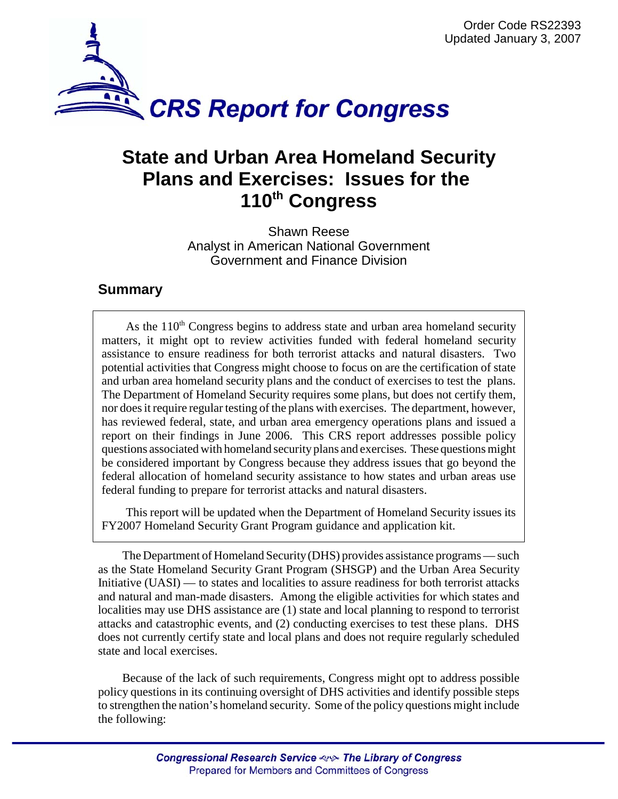

## **State and Urban Area Homeland Security Plans and Exercises: Issues for the 110th Congress**

Shawn Reese Analyst in American National Government Government and Finance Division

## **Summary**

As the  $110<sup>th</sup>$  Congress begins to address state and urban area homeland security matters, it might opt to review activities funded with federal homeland security assistance to ensure readiness for both terrorist attacks and natural disasters. Two potential activities that Congress might choose to focus on are the certification of state and urban area homeland security plans and the conduct of exercises to test the plans. The Department of Homeland Security requires some plans, but does not certify them, nor does it require regular testing of the plans with exercises. The department, however, has reviewed federal, state, and urban area emergency operations plans and issued a report on their findings in June 2006. This CRS report addresses possible policy questions associated with homeland security plans and exercises. These questions might be considered important by Congress because they address issues that go beyond the federal allocation of homeland security assistance to how states and urban areas use federal funding to prepare for terrorist attacks and natural disasters.

This report will be updated when the Department of Homeland Security issues its FY2007 Homeland Security Grant Program guidance and application kit.

The Department of Homeland Security (DHS) provides assistance programs — such as the State Homeland Security Grant Program (SHSGP) and the Urban Area Security Initiative (UASI) — to states and localities to assure readiness for both terrorist attacks and natural and man-made disasters. Among the eligible activities for which states and localities may use DHS assistance are (1) state and local planning to respond to terrorist attacks and catastrophic events, and (2) conducting exercises to test these plans. DHS does not currently certify state and local plans and does not require regularly scheduled state and local exercises.

Because of the lack of such requirements, Congress might opt to address possible policy questions in its continuing oversight of DHS activities and identify possible steps to strengthen the nation's homeland security. Some of the policy questions might include the following: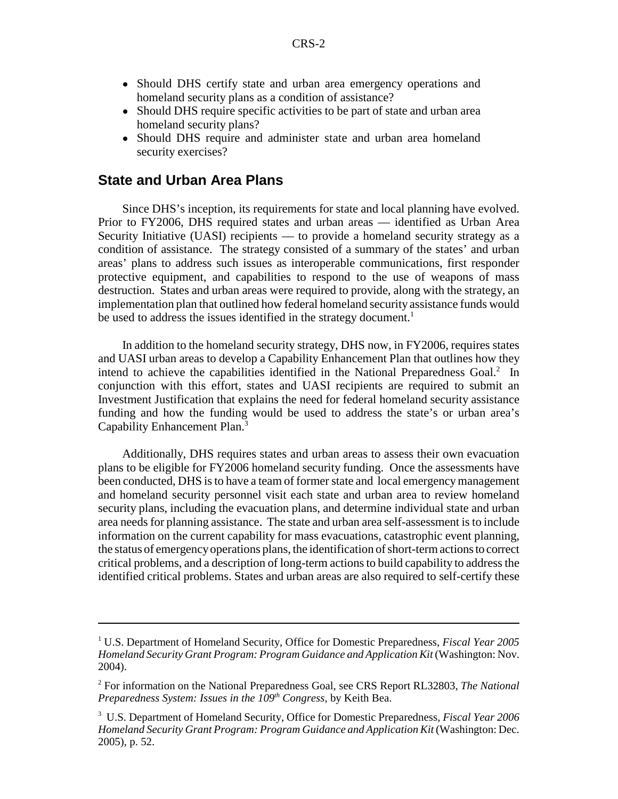- Should DHS certify state and urban area emergency operations and homeland security plans as a condition of assistance?
- Should DHS require specific activities to be part of state and urban area homeland security plans?
- ! Should DHS require and administer state and urban area homeland security exercises?

## **State and Urban Area Plans**

Since DHS's inception, its requirements for state and local planning have evolved. Prior to FY2006, DHS required states and urban areas — identified as Urban Area Security Initiative (UASI) recipients — to provide a homeland security strategy as a condition of assistance. The strategy consisted of a summary of the states' and urban areas' plans to address such issues as interoperable communications, first responder protective equipment, and capabilities to respond to the use of weapons of mass destruction. States and urban areas were required to provide, along with the strategy, an implementation plan that outlined how federal homeland security assistance funds would be used to address the issues identified in the strategy document.<sup>1</sup>

In addition to the homeland security strategy, DHS now, in FY2006, requires states and UASI urban areas to develop a Capability Enhancement Plan that outlines how they intend to achieve the capabilities identified in the National Preparedness Goal.<sup>2</sup> In conjunction with this effort, states and UASI recipients are required to submit an Investment Justification that explains the need for federal homeland security assistance funding and how the funding would be used to address the state's or urban area's Capability Enhancement Plan.3

Additionally, DHS requires states and urban areas to assess their own evacuation plans to be eligible for FY2006 homeland security funding. Once the assessments have been conducted, DHS is to have a team of former state and local emergency management and homeland security personnel visit each state and urban area to review homeland security plans, including the evacuation plans, and determine individual state and urban area needs for planning assistance. The state and urban area self-assessment is to include information on the current capability for mass evacuations, catastrophic event planning, the status of emergency operations plans, the identification of short-term actions to correct critical problems, and a description of long-term actions to build capability to address the identified critical problems. States and urban areas are also required to self-certify these

<sup>1</sup> U.S. Department of Homeland Security, Office for Domestic Preparedness, *Fiscal Year 2005 Homeland Security Grant Program: Program Guidance and Application Kit* (Washington: Nov. 2004).

<sup>2</sup> For information on the National Preparedness Goal, see CRS Report RL32803, *The National Preparedness System: Issues in the 109<sup>th</sup> Congress*, by Keith Bea.

<sup>3</sup> U.S. Department of Homeland Security, Office for Domestic Preparedness, *Fiscal Year 2006 Homeland Security Grant Program: Program Guidance and Application Kit* (Washington: Dec. 2005), p. 52.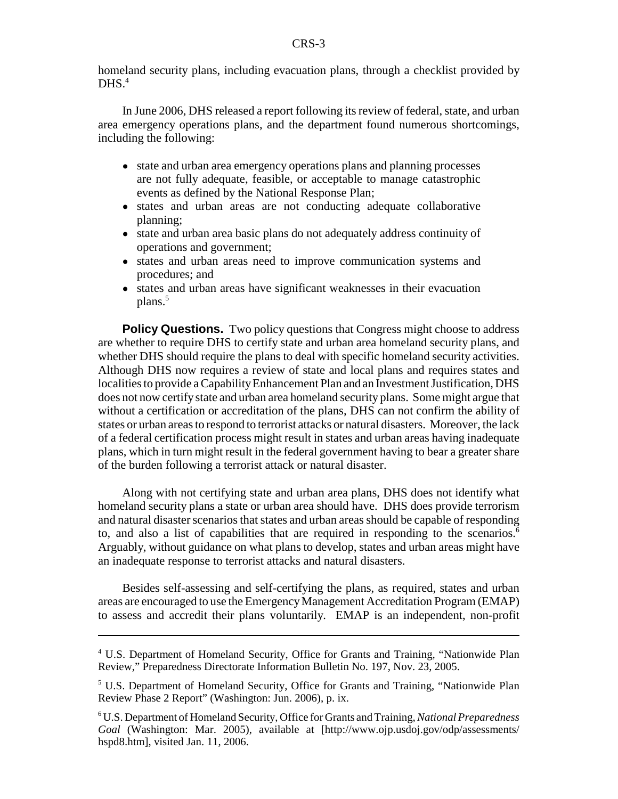homeland security plans, including evacuation plans, through a checklist provided by  $DHS<sup>4</sup>$ 

In June 2006, DHS released a report following its review of federal, state, and urban area emergency operations plans, and the department found numerous shortcomings, including the following:

- ! state and urban area emergency operations plans and planning processes are not fully adequate, feasible, or acceptable to manage catastrophic events as defined by the National Response Plan;
- ! states and urban areas are not conducting adequate collaborative planning;
- ! state and urban area basic plans do not adequately address continuity of operations and government;
- ! states and urban areas need to improve communication systems and procedures; and
- ! states and urban areas have significant weaknesses in their evacuation plans.<sup>5</sup>

**Policy Questions.** Two policy questions that Congress might choose to address are whether to require DHS to certify state and urban area homeland security plans, and whether DHS should require the plans to deal with specific homeland security activities. Although DHS now requires a review of state and local plans and requires states and localities to provide a Capability Enhancement Plan and an Investment Justification, DHS does not now certify state and urban area homeland security plans. Some might argue that without a certification or accreditation of the plans, DHS can not confirm the ability of states or urban areas to respond to terrorist attacks or natural disasters. Moreover, the lack of a federal certification process might result in states and urban areas having inadequate plans, which in turn might result in the federal government having to bear a greater share of the burden following a terrorist attack or natural disaster.

Along with not certifying state and urban area plans, DHS does not identify what homeland security plans a state or urban area should have. DHS does provide terrorism and natural disaster scenarios that states and urban areas should be capable of responding to, and also a list of capabilities that are required in responding to the scenarios.<sup>6</sup> Arguably, without guidance on what plans to develop, states and urban areas might have an inadequate response to terrorist attacks and natural disasters.

Besides self-assessing and self-certifying the plans, as required, states and urban areas are encouraged to use the Emergency Management Accreditation Program (EMAP) to assess and accredit their plans voluntarily. EMAP is an independent, non-profit

<sup>&</sup>lt;sup>4</sup> U.S. Department of Homeland Security, Office for Grants and Training, "Nationwide Plan Review," Preparedness Directorate Information Bulletin No. 197, Nov. 23, 2005.

<sup>&</sup>lt;sup>5</sup> U.S. Department of Homeland Security, Office for Grants and Training, "Nationwide Plan Review Phase 2 Report" (Washington: Jun. 2006), p. ix.

<sup>6</sup> U.S. Department of Homeland Security, Office for Grants and Training, *National Preparedness Goal* (Washington: Mar. 2005), available at [http://www.ojp.usdoj.gov/odp/assessments/ hspd8.htm], visited Jan. 11, 2006.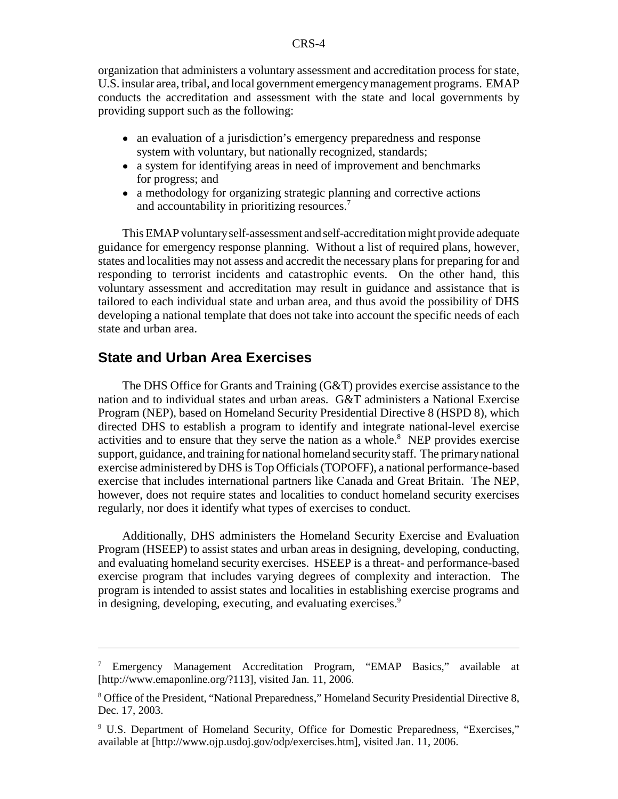organization that administers a voluntary assessment and accreditation process for state, U.S. insular area, tribal, and local government emergency management programs. EMAP conducts the accreditation and assessment with the state and local governments by providing support such as the following:

- an evaluation of a jurisdiction's emergency preparedness and response system with voluntary, but nationally recognized, standards;
- a system for identifying areas in need of improvement and benchmarks for progress; and
- ! a methodology for organizing strategic planning and corrective actions and accountability in prioritizing resources.<sup>7</sup>

This EMAP voluntary self-assessment and self-accreditation might provide adequate guidance for emergency response planning. Without a list of required plans, however, states and localities may not assess and accredit the necessary plans for preparing for and responding to terrorist incidents and catastrophic events. On the other hand, this voluntary assessment and accreditation may result in guidance and assistance that is tailored to each individual state and urban area, and thus avoid the possibility of DHS developing a national template that does not take into account the specific needs of each state and urban area.

## **State and Urban Area Exercises**

The DHS Office for Grants and Training (G&T) provides exercise assistance to the nation and to individual states and urban areas. G&T administers a National Exercise Program (NEP), based on Homeland Security Presidential Directive 8 (HSPD 8), which directed DHS to establish a program to identify and integrate national-level exercise activities and to ensure that they serve the nation as a whole.<sup>8</sup> NEP provides exercise support, guidance, and training for national homeland security staff. The primary national exercise administered by DHS is Top Officials (TOPOFF), a national performance-based exercise that includes international partners like Canada and Great Britain. The NEP, however, does not require states and localities to conduct homeland security exercises regularly, nor does it identify what types of exercises to conduct.

Additionally, DHS administers the Homeland Security Exercise and Evaluation Program (HSEEP) to assist states and urban areas in designing, developing, conducting, and evaluating homeland security exercises. HSEEP is a threat- and performance-based exercise program that includes varying degrees of complexity and interaction. The program is intended to assist states and localities in establishing exercise programs and in designing, developing, executing, and evaluating exercises.<sup>9</sup>

<sup>7</sup> Emergency Management Accreditation Program, "EMAP Basics," available at [http://www.emaponline.org/?113], visited Jan. 11, 2006.

<sup>&</sup>lt;sup>8</sup> Office of the President, "National Preparedness," Homeland Security Presidential Directive 8, Dec. 17, 2003.

<sup>&</sup>lt;sup>9</sup> U.S. Department of Homeland Security, Office for Domestic Preparedness, "Exercises," available at [http://www.ojp.usdoj.gov/odp/exercises.htm], visited Jan. 11, 2006.